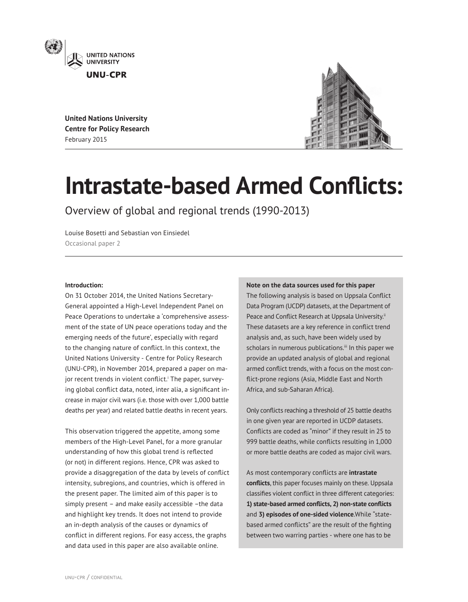

**United Nations University Centre for Policy Research** February 2015



# **Intrastate-based Armed Conflicts:**

Overview of global and regional trends (1990-2013)

Louise Bosetti and Sebastian von Einsiedel Occasional paper 2

# **Introduction:**

On 31 October 2014, the United Nations Secretary-General appointed a High-Level Independent Panel on Peace Operations to undertake a 'comprehensive assessment of the state of UN peace operations today and the emerging needs of the future', especially with regard to the changing nature of conflict. In this context, the United Nations University - Centre for Policy Research (UNU-CPR), in November 2014, prepared a paper on major recent trends [i](#page-8-0)n violent conflict.<sup>:</sup> The paper, surveying global conflict data, noted, inter alia, a significant increase in major civil wars (i.e. those with over 1,000 battle deaths per year) and related battle deaths in recent years.

This observation triggered the appetite, among some members of the High-Level Panel, for a more granular understanding of how this global trend is reflected (or not) in different regions. Hence, CPR was asked to provide a disaggregation of the data by levels of conflict intensity, subregions, and countries, which is offered in the present paper. The limited aim of this paper is to simply present – and make easily accessible –the data and highlight key trends. It does not intend to provide an in-depth analysis of the causes or dynamics of conflict in different regions. For easy access, the graphs and data used in this paper are also available online.

# **Note on the data sources used for this paper**

The following analysis is based on Uppsala Conflict Data Program (UCDP) datasets, at the Department of Peace and Conflict Research at Uppsala University.<sup>[ii](#page-8-1)</sup> These datasets are a key reference in conflict trend analysis and, as such, have been widely used by scholars in numerous publications.<sup>iii</sup> In this paper we provide an updated analysis of global and regional armed conflict trends, with a focus on the most conflict-prone regions (Asia, Middle East and North Africa, and sub-Saharan Africa).

Only conflicts reaching a threshold of 25 battle deaths in one given year are reported in UCDP datasets. Conflicts are coded as "minor" if they result in 25 to 999 battle deaths, while conflicts resulting in 1,000 or more battle deaths are coded as major civil wars.

As most contemporary conflicts are **intrastate conflicts**, this paper focuses mainly on these. Uppsala classifies violent conflict in three different categories: **1) state-based armed conflicts, 2) non-state conflicts** and **3) episodes of one-sided violence**.While "statebased armed conflicts" are the result of the fighting between two warring parties - where one has to be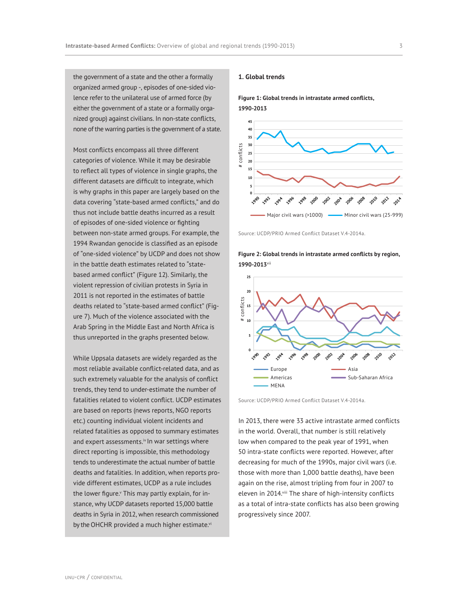the government of a state and the other a formally organized armed group -, episodes of one-sided violence refer to the unilateral use of armed force (by either the government of a state or a formally organized group) against civilians. In non-state conflicts, none of the warring parties is the government of a state.

Most conflicts encompass all three different categories of violence. While it may be desirable to reflect all types of violence in single graphs, the different datasets are difficult to integrate, which is why graphs in this paper are largely based on the data covering "state-based armed conflicts," and do thus not include battle deaths incurred as a result of episodes of one-sided violence or fighting between non-state armed groups. For example, the 1994 Rwandan genocide is classified as an episode of "one-sided violence" by UCDP and does not show in the battle death estimates related to "statebased armed conflict" (Figure 12). Similarly, the violent repression of civilian protests in Syria in 2011 is not reported in the estimates of battle deaths related to "state-based armed conflict" (Figure 7). Much of the violence associated with the Arab Spring in the Middle East and North Africa is thus unreported in the graphs presented below.

While Uppsala datasets are widely regarded as the most reliable available conflict-related data, and as such extremely valuable for the analysis of conflict trends, they tend to under-estimate the number of fatalities related to violent conflict. UCDP estimates are based on reports (news reports, NGO reports etc.) counting individual violent incidents and related fatalities as opposed to summary estimates and expert assessments.[iv](#page-8-3) In war settings where direct reporting is impossible, this methodology tends to underestimate the actual number of battle deaths and fatalities. In addition, when reports provide different estimates, UCDP as a rule includes the lower figure.<sup>v</sup> This may partly explain, for instance, why UCDP datasets reported 15,000 battle deaths in Syria in 2012, when research commissioned by the OHCHR pro[vi](#page-8-4)ded a much higher estimate.vi

# **1. Global trends**

**Figure 1: Global trends in intrastate armed conflicts, 1990-2013**



Source: UCDP/PRIO Armed Conflict Dataset V.4-2014a.

**Figure 2: Global trends in intrastate armed conflicts by region, 1990-2013**v[ii](#page-8-6)



Source: UCDP/PRIO Armed Conflict Dataset V.4-2014a.

In 2013, there were 33 active intrastate armed conflicts in the world. Overall, that number is still relatively low when compared to the peak year of 1991, when 50 intra-state conflicts were reported. However, after decreasing for much of the 1990s, major civil wars (i.e. those with more than 1,000 battle deaths), have been again on the rise, almost tripling from four in 2007 to eleven in 2014. Viii The share of high-intensity conflicts as a total of intra-state conflicts has also been growing progressively since 2007.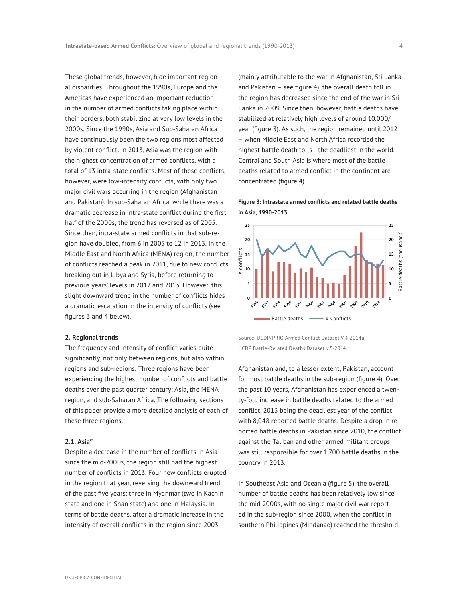These global trends, however, hide important regional disparities. Throughout the 1990s, Europe and the Americas have experienced an important reduction in the number of armed conflicts taking place within their borders, both stabilizing at very low levels in the 2000s. Since the 1990s, Asia and Sub-Saharan Africa have continuously been the two regions most affected by violent conflict. In 2013, Asia was the region with the highest concentration of armed conflicts, with a total of 13 intra-state conflicts. Most of these conflicts, however, were low-intensity conflicts, with only two major civil wars occurring in the region (Afghanistan and Pakistan). In sub-Saharan Africa, while there was a dramatic decrease in intra-state conflict during the first half of the 2000s, the trend has reversed as of 2005. Since then, intra-state armed conflicts in that sub-region have doubled, from 6 in 2005 to 12 in 2013. In the Middle East and North Africa (MENA) region, the number of conflicts reached a peak in 2011, due to new conflicts breaking out in Libya and Syria, before returning to previous years' levels in 2012 and 2013. However, this slight downward trend in the number of conflicts hides a dramatic escalation in the intensity of conflicts (see figures 3 and 4 below).

# **2. Regional trends**

The frequency and intensity of conflict varies quite significantly, not only between regions, but also within regions and sub-regions. Three regions have been experiencing the highest number of conflicts and battle deaths over the past quarter century: Asia, the MENA region, and sub-Saharan Africa. The following sections of this paper provide a more detailed analysis of each of these three regions.

# **2.1. Asia**[ix](#page-8-7)

Despite a decrease in the number of conflicts in Asia since the mid-2000s, the region still had the highest number of conflicts in 2013. Four new conflicts erupted in the region that year, reversing the downward trend of the past five years: three in Myanmar (two in Kachin state and one in Shan state) and one in Malaysia. In terms of battle deaths, after a dramatic increase in the intensity of overall conflicts in the region since 2003

(mainly attributable to the war in Afghanistan, Sri Lanka and Pakistan – see figure 4), the overall death toll in the region has decreased since the end of the war in Sri Lanka in 2009. Since then, however, battle deaths have stabilized at relatively high levels of around 10.000/ year (figure 3). As such, the region remained until 2012 – when Middle East and North Africa recorded the highest battle death tolls - the deadliest in the world. Central and South Asia is where most of the battle deaths related to armed conflict in the continent are concentrated (figure 4).

# **Figure 3: Intrastate armed conflicts and related battle deaths in Asia, 1990-2013**



Source: UCDP/PRIO Armed Conflict Dataset V.4-2014a; UCDP Battle-Related Deaths Dataset v.5-2014.

Afghanistan and, to a lesser extent, Pakistan, account for most battle deaths in the sub-region (figure 4). Over the past 10 years, Afghanistan has experienced a twenty-fold increase in battle deaths related to the armed conflict, 2013 being the deadliest year of the conflict with 8,048 reported battle deaths. Despite a drop in reported battle deaths in Pakistan since 2010, the conflict against the Taliban and other armed militant groups was still responsible for over 1,700 battle deaths in the country in 2013.

In Southeast Asia and Oceania (figure 5), the overall number of battle deaths has been relatively low since the mid-2000s, with no single major civil war reported in the sub-region since 2000, when the conflict in southern Philippines (Mindanao) reached the threshold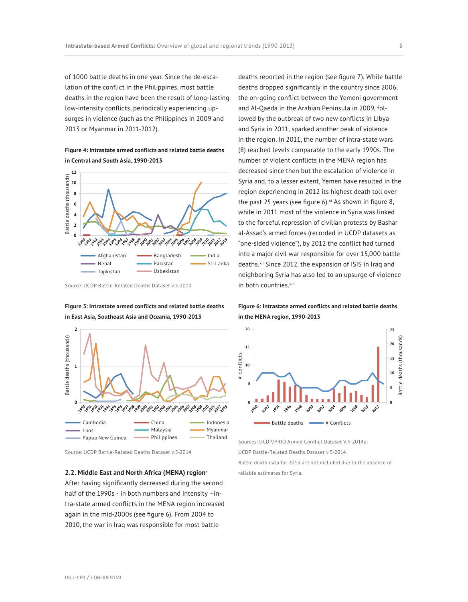of 1000 battle deaths in one year. Since the de-escalation of the conflict in the Philippines, most battle deaths in the region have been the result of long-lasting low-intensity conflicts, periodically experiencing upsurges in violence (such as the Philippines in 2009 and 2013 or Myanmar in 2011-2012).

**Figure 4: Intrastate armed conflicts and related battle deaths in Central and South Asia, 1990-2013**



Source: UCDP Battle-Related Deaths Dataset v.5-2014.

**Figure 5: Intrastate armed conflicts and related battle deaths in East Asia, Southeast Asia and Oceania, 1990-2013**



# **2.2. Middle East and North Africa (MENA) region**<sup>x</sup>

After having significantly decreased during the second half of the 1990s - in both numbers and intensity –intra-state armed conflicts in the MENA region increased again in the mid-2000s (see figure 6). From 2004 to 2010, the war in Iraq was responsible for most battle

deaths reported in the region (see figure 7). While battle deaths dropped significantly in the country since 2006, the on-going conflict between the Yemeni government and Al-Qaeda in the Arabian Peninsula in 2009, followed by the outbreak of two new conflicts in Libya and Syria in 2011, sparked another peak of violence in the region. In 2011, the number of intra-state wars (8) reached levels comparable to the early 1990s. The number of violent conflicts in the MENA region has decreased since then but the escalation of violence in Syria and, to a lesser extent, Yemen have resulted in the region experiencing in 2012 its highest death toll over the past 25 years (see figure 6). $x$ <sup>i</sup> As shown in figure 8, while in 2011 most of the violence in Syria was linked to the forceful repression of civilian protests by Bashar al-Assad's armed forces (recorded in UCDP datasets as "one-sided violence"), by 2012 the conflict had turned into a major civil war responsible for over 15,000 battle deaths.<sup>xii</sup> Since 2012, the expansion of ISIS in Iraq and neighboring Syria has also led to an upsurge of violence in both countries.x[iii](#page-8-10)

**Figure 6: Intrastate armed conflicts and related battle deaths in the MENA region, 1990-2013**



Sources: UCDP/PRIO Armed Conflict Dataset V.4-2014a; UCDP Battle-Related Deaths Dataset v.5-2014.

Battle death data for 2013 are not included due to the absence of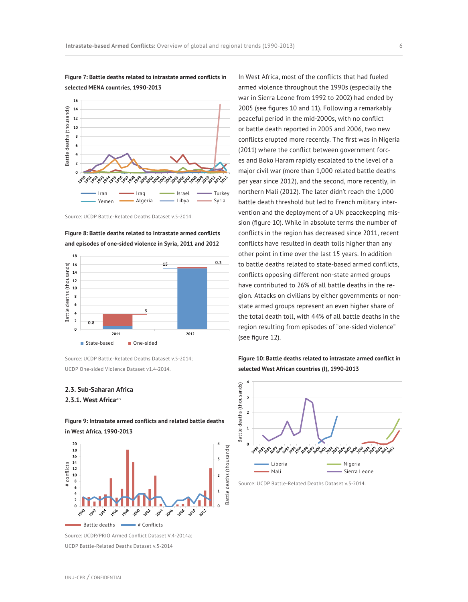

**Figure 7: Battle deaths related to intrastate armed conflicts in selected MENA countries, 1990-2013**





Source: UCDP Battle-Related Deaths Dataset v.5-2014;

# **2.3. Sub-Saharan Africa**

**2.3.1. West Africa**[x](#page-8-11)iv



**Figure 9: Intrastate armed conflicts and related battle deaths in West Africa, 1990-2013**

Source: UCDP/PRIO Armed Conflict Dataset V.4-2014a;

In West Africa, most of the conflicts that had fueled armed violence throughout the 1990s (especially the war in Sierra Leone from 1992 to 2002) had ended by 2005 (see figures 10 and 11). Following a remarkably peaceful period in the mid-2000s, with no conflict or battle death reported in 2005 and 2006, two new conflicts erupted more recently. The first was in Nigeria (2011) where the conflict between government forces and Boko Haram rapidly escalated to the level of a major civil war (more than 1,000 related battle deaths per year since 2012), and the second, more recently, in northern Mali (2012). The later didn't reach the 1,000 battle death threshold but led to French military intervention and the deployment of a UN peacekeeping mission (figure 10). While in absolute terms the number of conflicts in the region has decreased since 2011, recent conflicts have resulted in death tolls higher than any other point in time over the last 15 years. In addition to battle deaths related to state-based armed conflicts, conflicts opposing different non-state armed groups have contributed to 26% of all battle deaths in the region. Attacks on civilians by either governments or nonstate armed groups represent an even higher share of the total death toll, with 44% of all battle deaths in the region resulting from episodes of "one-sided violence" (see figure 12).

**Figure 10: Battle deaths related to intrastate armed conflict in selected West African countries (I), 1990-2013**

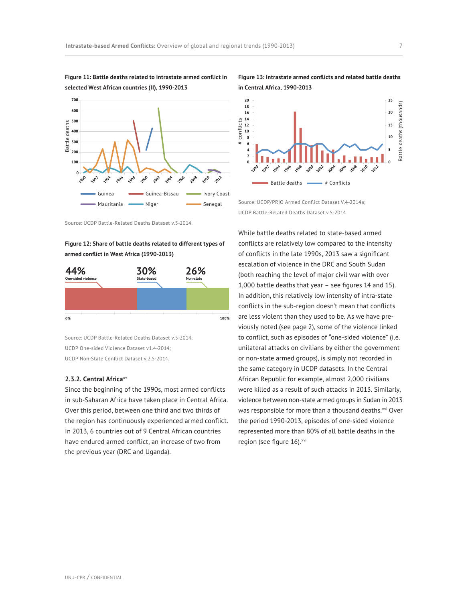

**Figure 11: Battle deaths related to intrastate armed conflict in selected West African countries (II), 1990-2013**

**Figure 12: Share of battle deaths related to different types of armed conflict in West Africa (1990-2013)**



Source: UCDP Battle-Related Deaths Dataset v.5-2014; UCDP One-sided Violence Dataset v1.4-2014; UCDP Non-State Conflict Dataset v.2.5-2014.

# **2.3.2. Central Africa**[xv](#page-8-12)

Since the beginning of the 1990s, most armed conflicts in sub-Saharan Africa have taken place in Central Africa. Over this period, between one third and two thirds of the region has continuously experienced armed conflict. In 2013, 6 countries out of 9 Central African countries have endured armed conflict, an increase of two from the previous year (DRC and Uganda).

# **Figure 13: Intrastate armed conflicts and related battle deaths in Central Africa, 1990-2013**



Source: UCDP/PRIO Armed Conflict Dataset V.4-2014a; UCDP Battle-Related Deaths Dataset v.5-2014

While battle deaths related to state-based armed conflicts are relatively low compared to the intensity of conflicts in the late 1990s, 2013 saw a significant escalation of violence in the DRC and South Sudan (both reaching the level of major civil war with over 1,000 battle deaths that year – see figures 14 and 15). In addition, this relatively low intensity of intra-state conflicts in the sub-region doesn't mean that conflicts are less violent than they used to be. As we have previously noted (see page 2), some of the violence linked to conflict, such as episodes of "one-sided violence" (i.e. unilateral attacks on civilians by either the government or non-state armed groups), is simply not recorded in the same category in UCDP datasets. In the Central African Republic for example, almost 2,000 civilians were killed as a result of such attacks in 2013. Similarly, violence between non-state armed groups in Sudan in 2013 was responsible for more than a thousand deaths.[xvi](#page-8-13) Over the period 1990-2013, episodes of one-sided violence represented more than 80% of all battle deaths in the region (see figure 16). [xvii](#page-8-14)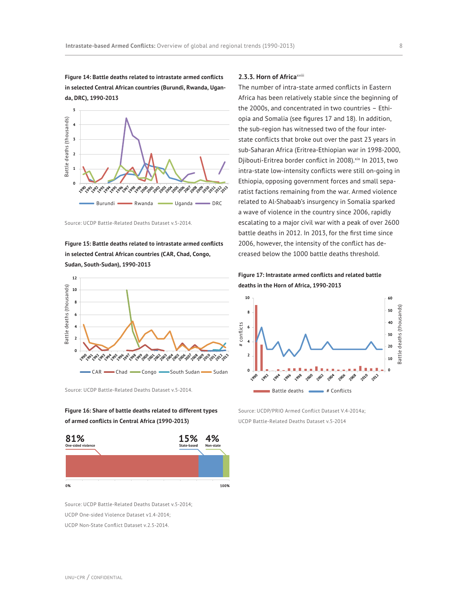**Figure 14: Battle deaths related to intrastate armed conflicts in selected Central African countries (Burundi, Rwanda, Uganda, DRC), 1990-2013**



**Figure 15: Battle deaths related to intrastate armed conflicts in selected Central African countries (CAR, Chad, Congo, Sudan, South-Sudan), 1990-2013**







Source: UCDP Battle-Related Deaths Dataset v.5-2014; UCDP One-sided Violence Dataset v1.4-2014; UCDP Non-State Conflict Dataset v.2.5-2014.

### **2.3.3. Horn of Africa**[xviii](#page-8-15)

The number of intra-state armed conflicts in Eastern Africa has been relatively stable since the beginning of the 2000s, and concentrated in two countries – Ethiopia and Somalia (see figures 17 and 18). In addition, the sub-region has witnessed two of the four interstate conflicts that broke out over the past 23 years in sub-Saharan Africa (Eritrea-Ethiopian war in 1998-2000, Djibouti-Eritrea border conflict in 2008). [xix](#page-8-16) In 2013, two intra-state low-intensity conflicts were still on-going in Ethiopia, opposing government forces and small separatist factions remaining from the war. Armed violence related to Al-Shabaab's insurgency in Somalia sparked a wave of violence in the country since 2006, rapidly escalating to a major civil war with a peak of over 2600 battle deaths in 2012. In 2013, for the first time since 2006, however, the intensity of the conflict has decreased below the 1000 battle deaths threshold.

**Figure 17: Intrastate armed conflicts and related battle deaths in the Horn of Africa, 1990-2013**



Source: UCDP/PRIO Armed Conflict Dataset V.4-2014a; UCDP Battle-Related Deaths Dataset v.5-2014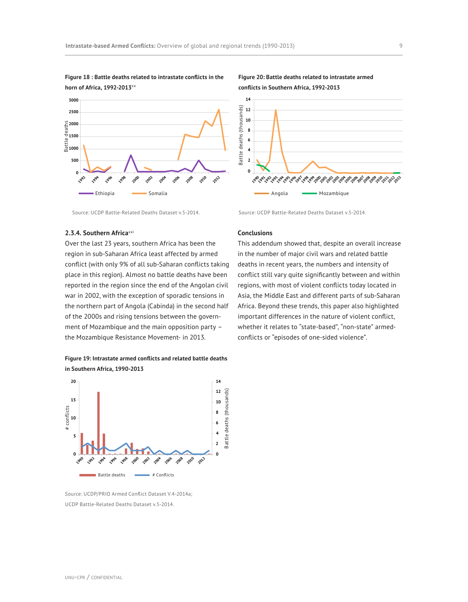

**Figure 18 : Battle deaths related to intrastate conflicts in the** 

**Figure 20: Battle deaths related to intrastate armed conflicts in Southern Africa, 1992-2013**



Source: UCDP Battle-Related Deaths Dataset v.5-2014.

# **2.3.4. Southern Africa**[xxi](#page-8-17)

Over the last 23 years, southern Africa has been the region in sub-Saharan Africa least affected by armed conflict (with only 9% of all sub-Saharan conflicts taking place in this region). Almost no battle deaths have been reported in the region since the end of the Angolan civil war in 2002, with the exception of sporadic tensions in the northern part of Angola (Cabinda) in the second half of the 2000s and rising tensions between the government of Mozambique and the main opposition party – the Mozambique Resistance Movement- in 2013.





Source: UCDP/PRIO Armed Conflict Dataset V.4-2014a; UCDP Battle-Related Deaths Dataset v.5-2014.

Battle deaths **Exercise # Conflicts** 

# **Conclusions**

This addendum showed that, despite an overall increase in the number of major civil wars and related battle deaths in recent years, the numbers and intensity of conflict still vary quite significantly between and within regions, with most of violent conflicts today located in Asia, the Middle East and different parts of sub-Saharan Africa. Beyond these trends, this paper also highlighted important differences in the nature of violent conflict, whether it relates to "state-based", "non-state" armedconflicts or "episodes of one-sided violence".